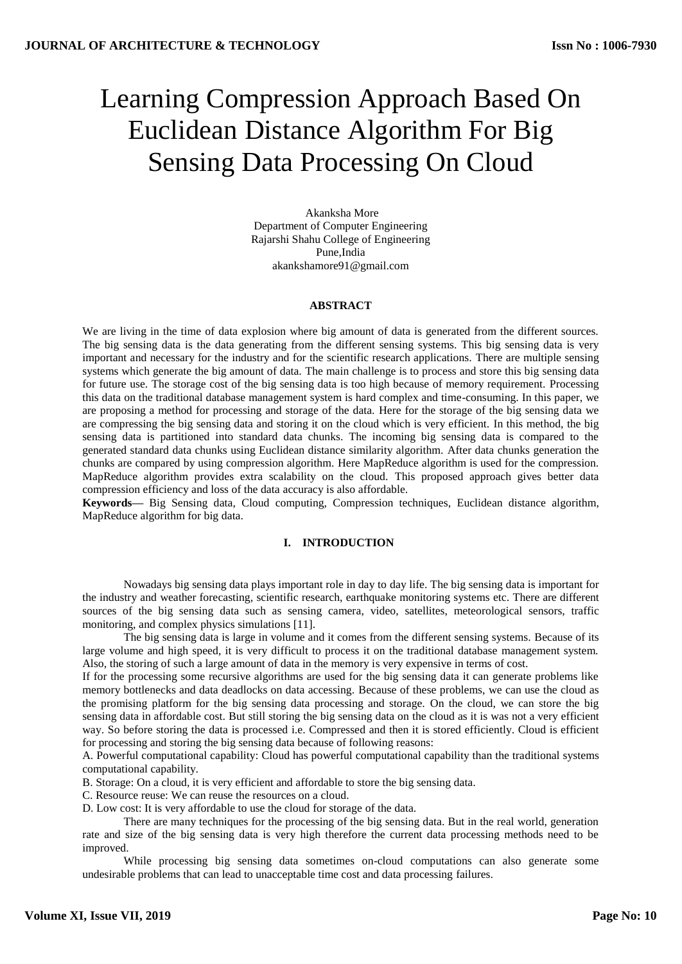# Learning Compression Approach Based On Euclidean Distance Algorithm For Big Sensing Data Processing On Cloud

Akanksha More Department of Computer Engineering Rajarshi Shahu College of Engineering Pune,India akankshamore91@gmail.com

#### **ABSTRACT**

We are living in the time of data explosion where big amount of data is generated from the different sources. The big sensing data is the data generating from the different sensing systems. This big sensing data is very important and necessary for the industry and for the scientific research applications. There are multiple sensing systems which generate the big amount of data. The main challenge is to process and store this big sensing data for future use. The storage cost of the big sensing data is too high because of memory requirement. Processing this data on the traditional database management system is hard complex and time-consuming. In this paper, we are proposing a method for processing and storage of the data. Here for the storage of the big sensing data we are compressing the big sensing data and storing it on the cloud which is very efficient. In this method, the big sensing data is partitioned into standard data chunks. The incoming big sensing data is compared to the generated standard data chunks using Euclidean distance similarity algorithm. After data chunks generation the chunks are compared by using compression algorithm. Here MapReduce algorithm is used for the compression. MapReduce algorithm provides extra scalability on the cloud. This proposed approach gives better data compression efficiency and loss of the data accuracy is also affordable.

**Keywords—** Big Sensing data, Cloud computing, Compression techniques, Euclidean distance algorithm, MapReduce algorithm for big data.

#### **I. INTRODUCTION**

Nowadays big sensing data plays important role in day to day life. The big sensing data is important for the industry and weather forecasting, scientific research, earthquake monitoring systems etc. There are different sources of the big sensing data such as sensing camera, video, satellites, meteorological sensors, traffic monitoring, and complex physics simulations [11].

The big sensing data is large in volume and it comes from the different sensing systems. Because of its large volume and high speed, it is very difficult to process it on the traditional database management system. Also, the storing of such a large amount of data in the memory is very expensive in terms of cost.

If for the processing some recursive algorithms are used for the big sensing data it can generate problems like memory bottlenecks and data deadlocks on data accessing. Because of these problems, we can use the cloud as the promising platform for the big sensing data processing and storage. On the cloud, we can store the big sensing data in affordable cost. But still storing the big sensing data on the cloud as it is was not a very efficient way. So before storing the data is processed i.e. Compressed and then it is stored efficiently. Cloud is efficient for processing and storing the big sensing data because of following reasons:

A. Powerful computational capability: Cloud has powerful computational capability than the traditional systems computational capability.

B. Storage: On a cloud, it is very efficient and affordable to store the big sensing data.

C. Resource reuse: We can reuse the resources on a cloud.

D. Low cost: It is very affordable to use the cloud for storage of the data.

There are many techniques for the processing of the big sensing data. But in the real world, generation rate and size of the big sensing data is very high therefore the current data processing methods need to be improved.

While processing big sensing data sometimes on-cloud computations can also generate some undesirable problems that can lead to unacceptable time cost and data processing failures.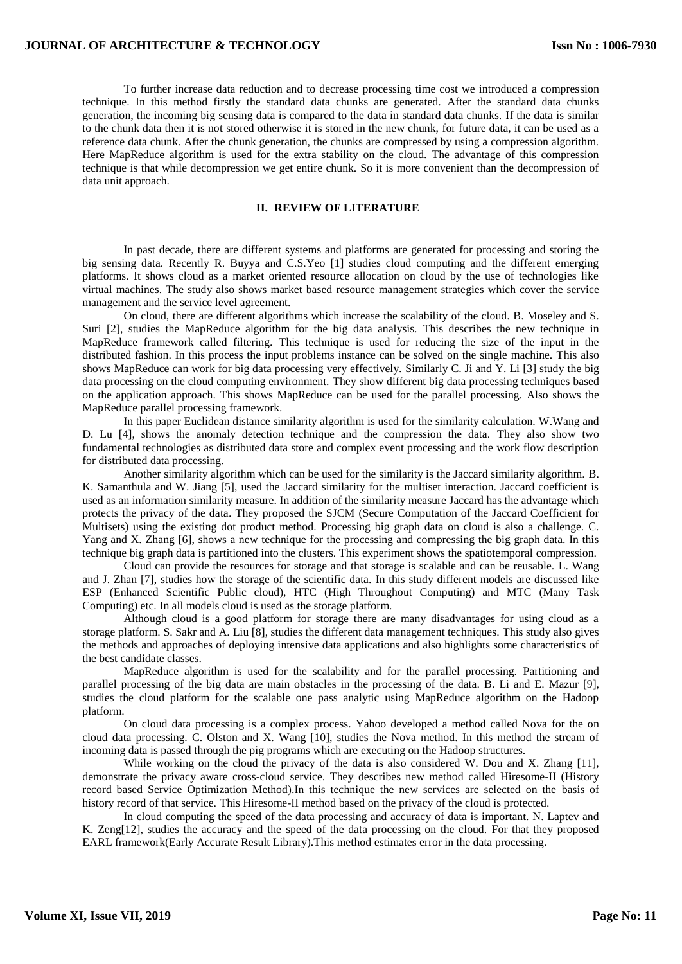To further increase data reduction and to decrease processing time cost we introduced a compression technique. In this method firstly the standard data chunks are generated. After the standard data chunks generation, the incoming big sensing data is compared to the data in standard data chunks. If the data is similar to the chunk data then it is not stored otherwise it is stored in the new chunk, for future data, it can be used as a reference data chunk. After the chunk generation, the chunks are compressed by using a compression algorithm. Here MapReduce algorithm is used for the extra stability on the cloud. The advantage of this compression technique is that while decompression we get entire chunk. So it is more convenient than the decompression of data unit approach.

# **II. REVIEW OF LITERATURE**

In past decade, there are different systems and platforms are generated for processing and storing the big sensing data. Recently R. Buyya and C.S.Yeo [1] studies cloud computing and the different emerging platforms. It shows cloud as a market oriented resource allocation on cloud by the use of technologies like virtual machines. The study also shows market based resource management strategies which cover the service management and the service level agreement.

On cloud, there are different algorithms which increase the scalability of the cloud. B. Moseley and S. Suri [2], studies the MapReduce algorithm for the big data analysis. This describes the new technique in MapReduce framework called filtering. This technique is used for reducing the size of the input in the distributed fashion. In this process the input problems instance can be solved on the single machine. This also shows MapReduce can work for big data processing very effectively. Similarly C. Ji and Y. Li [3] study the big data processing on the cloud computing environment. They show different big data processing techniques based on the application approach. This shows MapReduce can be used for the parallel processing. Also shows the MapReduce parallel processing framework.

In this paper Euclidean distance similarity algorithm is used for the similarity calculation. W.Wang and D. Lu [4], shows the anomaly detection technique and the compression the data. They also show two fundamental technologies as distributed data store and complex event processing and the work flow description for distributed data processing.

Another similarity algorithm which can be used for the similarity is the Jaccard similarity algorithm. B. K. Samanthula and W. Jiang [5], used the Jaccard similarity for the multiset interaction. Jaccard coefficient is used as an information similarity measure. In addition of the similarity measure Jaccard has the advantage which protects the privacy of the data. They proposed the SJCM (Secure Computation of the Jaccard Coefficient for Multisets) using the existing dot product method. Processing big graph data on cloud is also a challenge. C. Yang and X. Zhang [6], shows a new technique for the processing and compressing the big graph data. In this technique big graph data is partitioned into the clusters. This experiment shows the spatiotemporal compression.

Cloud can provide the resources for storage and that storage is scalable and can be reusable. L. Wang and J. Zhan [7], studies how the storage of the scientific data. In this study different models are discussed like ESP (Enhanced Scientific Public cloud), HTC (High Throughout Computing) and MTC (Many Task Computing) etc. In all models cloud is used as the storage platform.

Although cloud is a good platform for storage there are many disadvantages for using cloud as a storage platform. S. Sakr and A. Liu [8], studies the different data management techniques. This study also gives the methods and approaches of deploying intensive data applications and also highlights some characteristics of the best candidate classes.

MapReduce algorithm is used for the scalability and for the parallel processing. Partitioning and parallel processing of the big data are main obstacles in the processing of the data. B. Li and E. Mazur [9], studies the cloud platform for the scalable one pass analytic using MapReduce algorithm on the Hadoop platform.

On cloud data processing is a complex process. Yahoo developed a method called Nova for the on cloud data processing. C. Olston and X. Wang [10], studies the Nova method. In this method the stream of incoming data is passed through the pig programs which are executing on the Hadoop structures.

While working on the cloud the privacy of the data is also considered W. Dou and X. Zhang [11], demonstrate the privacy aware cross-cloud service. They describes new method called Hiresome-II (History record based Service Optimization Method).In this technique the new services are selected on the basis of history record of that service. This Hiresome-II method based on the privacy of the cloud is protected.

In cloud computing the speed of the data processing and accuracy of data is important. N. Laptev and K. Zeng[12], studies the accuracy and the speed of the data processing on the cloud. For that they proposed EARL framework(Early Accurate Result Library).This method estimates error in the data processing.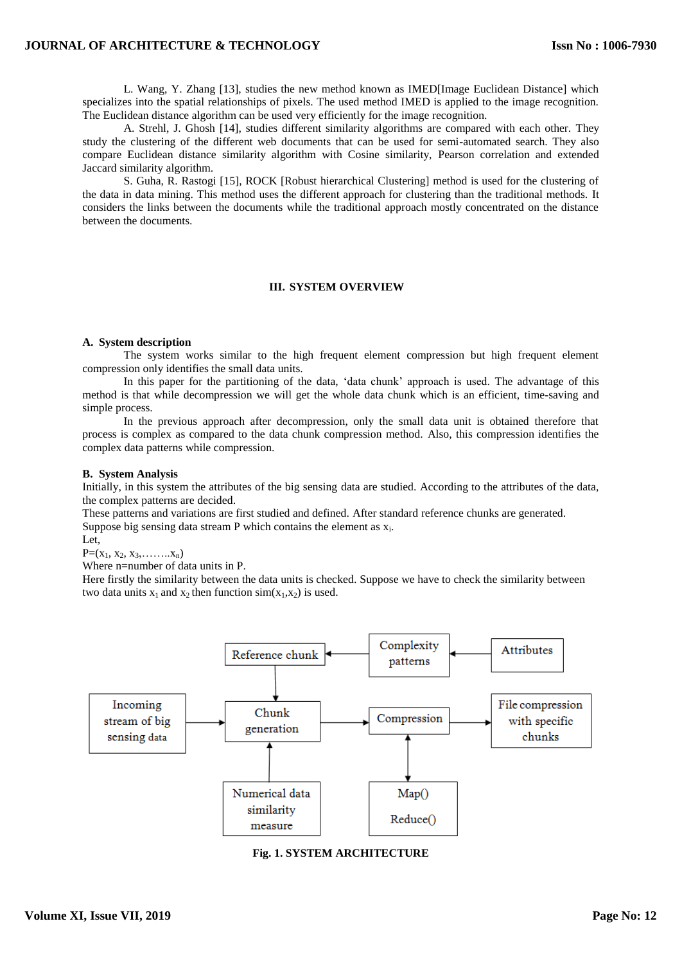# **JOURNAL OF ARCHITECTURE & TECHNOLOGY**

L. Wang, Y. Zhang [13], studies the new method known as IMED[Image Euclidean Distance] which specializes into the spatial relationships of pixels. The used method IMED is applied to the image recognition. The Euclidean distance algorithm can be used very efficiently for the image recognition.

A. Strehl, J. Ghosh [14], studies different similarity algorithms are compared with each other. They study the clustering of the different web documents that can be used for semi-automated search. They also compare Euclidean distance similarity algorithm with Cosine similarity, Pearson correlation and extended Jaccard similarity algorithm.

S. Guha, R. Rastogi [15], ROCK [Robust hierarchical Clustering] method is used for the clustering of the data in data mining. This method uses the different approach for clustering than the traditional methods. It considers the links between the documents while the traditional approach mostly concentrated on the distance between the documents.

## **III. SYSTEM OVERVIEW**

### **A. System description**

The system works similar to the high frequent element compression but high frequent element compression only identifies the small data units.

In this paper for the partitioning of the data, 'data chunk' approach is used. The advantage of this method is that while decompression we will get the whole data chunk which is an efficient, time-saving and simple process.

In the previous approach after decompression, only the small data unit is obtained therefore that process is complex as compared to the data chunk compression method. Also, this compression identifies the complex data patterns while compression.

## **B. System Analysis**

Initially, in this system the attributes of the big sensing data are studied. According to the attributes of the data, the complex patterns are decided.

These patterns and variations are first studied and defined. After standard reference chunks are generated. Suppose big sensing data stream  $P$  which contains the element as  $x_i$ .

Let,

 $P=(x_1, x_2, x_3, \ldots, x_n)$ 

Where n=number of data units in P.

Here firstly the similarity between the data units is checked. Suppose we have to check the similarity between two data units  $x_1$  and  $x_2$  then function  $sim(x_1,x_2)$  is used.



**Fig. 1. SYSTEM ARCHITECTURE**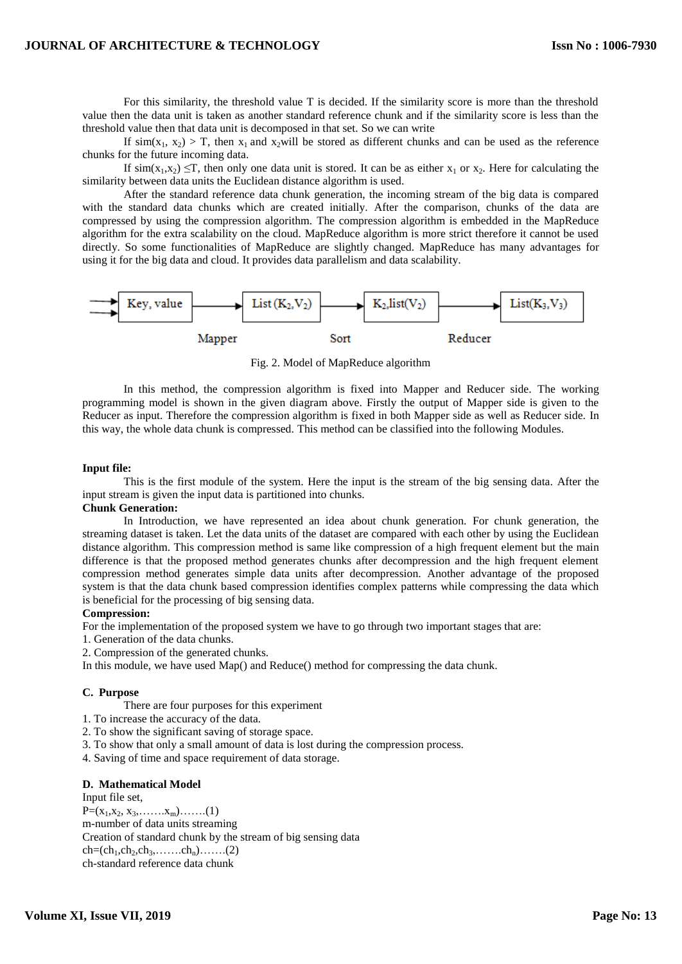For this similarity, the threshold value T is decided. If the similarity score is more than the threshold value then the data unit is taken as another standard reference chunk and if the similarity score is less than the threshold value then that data unit is decomposed in that set. So we can write

If  $\sin(x_1, x_2) > T$ , then  $x_1$  and  $x_2$  will be stored as different chunks and can be used as the reference chunks for the future incoming data.

If  $\sin(x_1, x_2) \leq T$ , then only one data unit is stored. It can be as either  $x_1$  or  $x_2$ . Here for calculating the similarity between data units the Euclidean distance algorithm is used.

After the standard reference data chunk generation, the incoming stream of the big data is compared with the standard data chunks which are created initially. After the comparison, chunks of the data are compressed by using the compression algorithm. The compression algorithm is embedded in the MapReduce algorithm for the extra scalability on the cloud. MapReduce algorithm is more strict therefore it cannot be used directly. So some functionalities of MapReduce are slightly changed. MapReduce has many advantages for using it for the big data and cloud. It provides data parallelism and data scalability.



Fig. 2. Model of MapReduce algorithm

In this method, the compression algorithm is fixed into Mapper and Reducer side. The working programming model is shown in the given diagram above. Firstly the output of Mapper side is given to the Reducer as input. Therefore the compression algorithm is fixed in both Mapper side as well as Reducer side. In this way, the whole data chunk is compressed. This method can be classified into the following Modules.

#### **Input file:**

This is the first module of the system. Here the input is the stream of the big sensing data. After the input stream is given the input data is partitioned into chunks.

### **Chunk Generation:**

In Introduction, we have represented an idea about chunk generation. For chunk generation, the streaming dataset is taken. Let the data units of the dataset are compared with each other by using the Euclidean distance algorithm. This compression method is same like compression of a high frequent element but the main difference is that the proposed method generates chunks after decompression and the high frequent element compression method generates simple data units after decompression. Another advantage of the proposed system is that the data chunk based compression identifies complex patterns while compressing the data which is beneficial for the processing of big sensing data.

#### **Compression:**

For the implementation of the proposed system we have to go through two important stages that are:

- 1. Generation of the data chunks.
- 2. Compression of the generated chunks.

In this module, we have used Map() and Reduce() method for compressing the data chunk.

### **C. Purpose**

There are four purposes for this experiment

- 1. To increase the accuracy of the data.
- 2. To show the significant saving of storage space.
- 3. To show that only a small amount of data is lost during the compression process.
- 4. Saving of time and space requirement of data storage.

# **D. Mathematical Model**

Input file set,  $P=(x_1,x_2, x_3, \ldots, x_m) \ldots (1)$ m-number of data units streaming Creation of standard chunk by the stream of big sensing data  $ch=(ch_1, ch_2, ch_3, \ldots, ch_n), \ldots, (2)$ ch-standard reference data chunk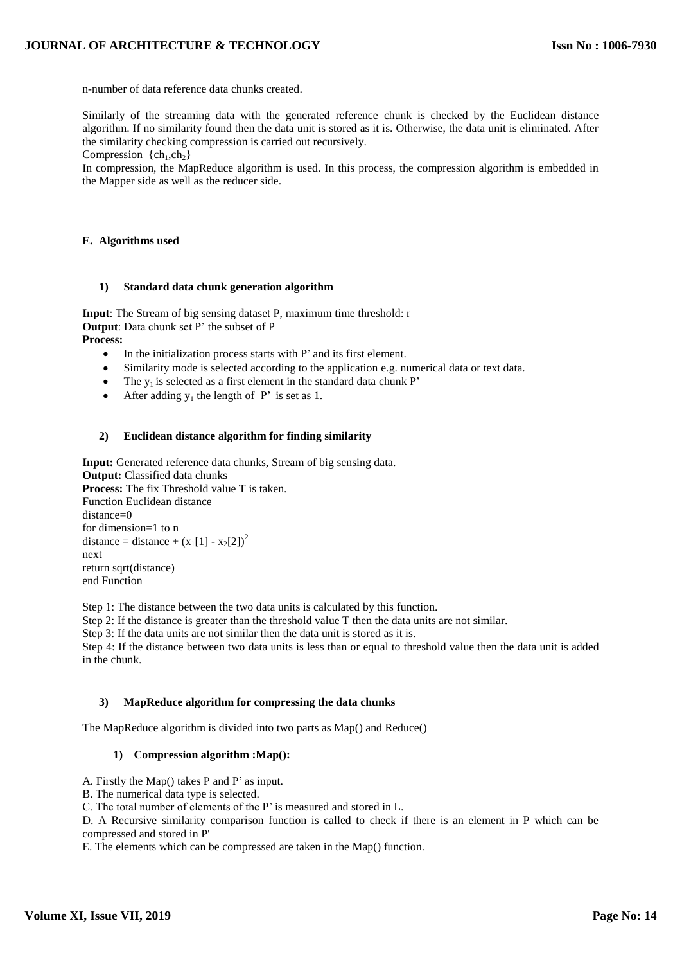n-number of data reference data chunks created.

Similarly of the streaming data with the generated reference chunk is checked by the Euclidean distance algorithm. If no similarity found then the data unit is stored as it is. Otherwise, the data unit is eliminated. After the similarity checking compression is carried out recursively.

Compression  $\{ch_1, ch_2\}$ 

In compression, the MapReduce algorithm is used. In this process, the compression algorithm is embedded in the Mapper side as well as the reducer side.

## **E. Algorithms used**

## **1) Standard data chunk generation algorithm**

**Input**: The Stream of big sensing dataset P, maximum time threshold: r **Output**: Data chunk set P' the subset of P **Process:**

- In the initialization process starts with P' and its first element.
- Similarity mode is selected according to the application e.g. numerical data or text data.
- The  $y_1$  is selected as a first element in the standard data chunk P'
- After adding  $y_1$  the length of P' is set as 1.

## **2) Euclidean distance algorithm for finding similarity**

**Input:** Generated reference data chunks, Stream of big sensing data. **Output:** Classified data chunks **Process:** The fix Threshold value T is taken. Function Euclidean distance distance=0 for dimension=1 to n distance = distance +  $(x_1[1] - x_2[2])^2$ next return sqrt(distance) end Function

Step 1: The distance between the two data units is calculated by this function.

Step 2: If the distance is greater than the threshold value T then the data units are not similar.

Step 3: If the data units are not similar then the data unit is stored as it is.

Step 4: If the distance between two data units is less than or equal to threshold value then the data unit is added in the chunk.

### **3) MapReduce algorithm for compressing the data chunks**

The MapReduce algorithm is divided into two parts as Map() and Reduce()

### **1) Compression algorithm :Map():**

- A. Firstly the Map() takes P and P' as input.
- B. The numerical data type is selected.

C. The total number of elements of the P' is measured and stored in L.

D. A Recursive similarity comparison function is called to check if there is an element in P which can be compressed and stored in P'

E. The elements which can be compressed are taken in the Map() function.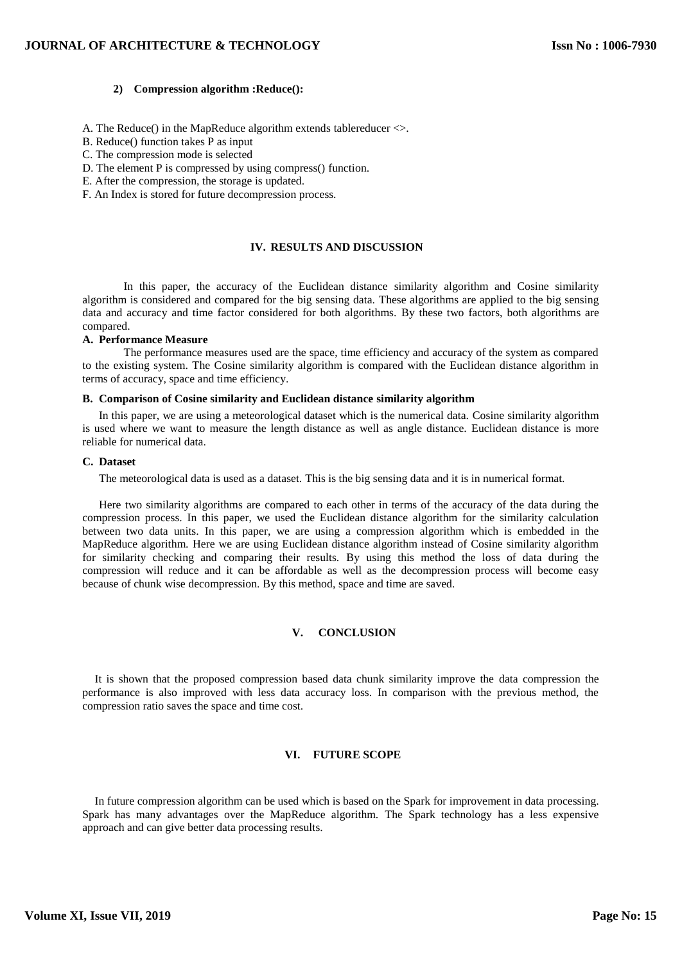### **2) Compression algorithm :Reduce():**

- A. The Reduce() in the MapReduce algorithm extends tablereducer <>.
- B. Reduce() function takes P as input
- C. The compression mode is selected
- D. The element P is compressed by using compress() function.
- E. After the compression, the storage is updated.
- F. An Index is stored for future decompression process.

# **IV. RESULTS AND DISCUSSION**

In this paper, the accuracy of the Euclidean distance similarity algorithm and Cosine similarity algorithm is considered and compared for the big sensing data. These algorithms are applied to the big sensing data and accuracy and time factor considered for both algorithms. By these two factors, both algorithms are compared.

#### **A. Performance Measure**

The performance measures used are the space, time efficiency and accuracy of the system as compared to the existing system. The Cosine similarity algorithm is compared with the Euclidean distance algorithm in terms of accuracy, space and time efficiency.

# **B. Comparison of Cosine similarity and Euclidean distance similarity algorithm**

In this paper, we are using a meteorological dataset which is the numerical data. Cosine similarity algorithm is used where we want to measure the length distance as well as angle distance. Euclidean distance is more reliable for numerical data.

#### **C. Dataset**

The meteorological data is used as a dataset. This is the big sensing data and it is in numerical format.

Here two similarity algorithms are compared to each other in terms of the accuracy of the data during the compression process. In this paper, we used the Euclidean distance algorithm for the similarity calculation between two data units. In this paper, we are using a compression algorithm which is embedded in the MapReduce algorithm. Here we are using Euclidean distance algorithm instead of Cosine similarity algorithm for similarity checking and comparing their results. By using this method the loss of data during the compression will reduce and it can be affordable as well as the decompression process will become easy because of chunk wise decompression. By this method, space and time are saved.

# **V. CONCLUSION**

It is shown that the proposed compression based data chunk similarity improve the data compression the performance is also improved with less data accuracy loss. In comparison with the previous method, the compression ratio saves the space and time cost.

### **VI. FUTURE SCOPE**

In future compression algorithm can be used which is based on the Spark for improvement in data processing. Spark has many advantages over the MapReduce algorithm. The Spark technology has a less expensive approach and can give better data processing results.